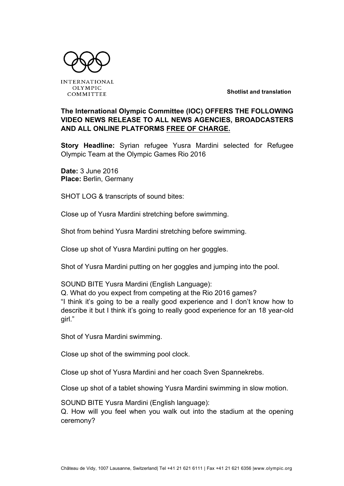

**INTERNATIONAL OLYMPIC** COMMITTEE

**Shotlist and translation**

## **The International Olympic Committee (IOC) OFFERS THE FOLLOWING VIDEO NEWS RELEASE TO ALL NEWS AGENCIES, BROADCASTERS AND ALL ONLINE PLATFORMS FREE OF CHARGE.**

**Story Headline:** Syrian refugee Yusra Mardini selected for Refugee Olympic Team at the Olympic Games Rio 2016

**Date:** 3 June 2016 **Place:** Berlin, Germany

SHOT LOG & transcripts of sound bites:

Close up of Yusra Mardini stretching before swimming.

Shot from behind Yusra Mardini stretching before swimming.

Close up shot of Yusra Mardini putting on her goggles.

Shot of Yusra Mardini putting on her goggles and jumping into the pool.

SOUND BITE Yusra Mardini (English Language):

Q. What do you expect from competing at the Rio 2016 games? "I think it's going to be a really good experience and I don't know how to describe it but I think it's going to really good experience for an 18 year-old girl."

Shot of Yusra Mardini swimming.

Close up shot of the swimming pool clock.

Close up shot of Yusra Mardini and her coach Sven Spannekrebs.

Close up shot of a tablet showing Yusra Mardini swimming in slow motion.

SOUND BITE Yusra Mardini (English language):

Q. How will you feel when you walk out into the stadium at the opening ceremony?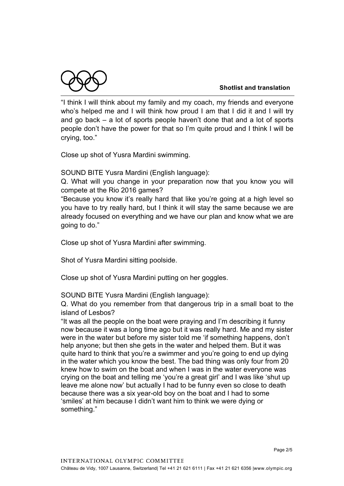



"I think I will think about my family and my coach, my friends and everyone who's helped me and I will think how proud I am that I did it and I will try and go back – a lot of sports people haven't done that and a lot of sports people don't have the power for that so I'm quite proud and I think I will be crying, too."

Close up shot of Yusra Mardini swimming.

SOUND BITE Yusra Mardini (English language):

Q. What will you change in your preparation now that you know you will compete at the Rio 2016 games?

"Because you know it's really hard that like you're going at a high level so you have to try really hard, but I think it will stay the same because we are already focused on everything and we have our plan and know what we are going to do."

Close up shot of Yusra Mardini after swimming.

Shot of Yusra Mardini sitting poolside.

Close up shot of Yusra Mardini putting on her goggles.

SOUND BITE Yusra Mardini (English language):

Q. What do you remember from that dangerous trip in a small boat to the island of Lesbos?

"It was all the people on the boat were praying and I'm describing it funny now because it was a long time ago but it was really hard. Me and my sister were in the water but before my sister told me 'if something happens, don't help anyone; but then she gets in the water and helped them. But it was quite hard to think that you're a swimmer and you're going to end up dying in the water which you know the best. The bad thing was only four from 20 knew how to swim on the boat and when I was in the water everyone was crying on the boat and telling me 'you're a great girl' and I was like 'shut up leave me alone now' but actually I had to be funny even so close to death because there was a six year-old boy on the boat and I had to some 'smiles' at him because I didn't want him to think we were dying or something."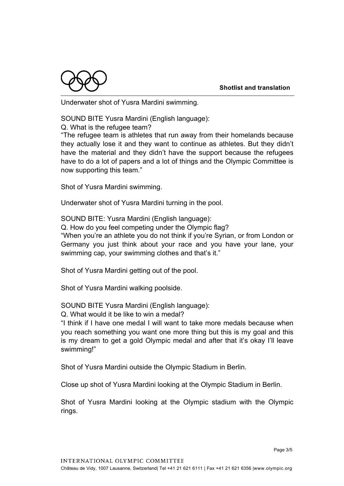

Underwater shot of Yusra Mardini swimming.

SOUND BITE Yusra Mardini (English language):

Q. What is the refugee team?

"The refugee team is athletes that run away from their homelands because they actually lose it and they want to continue as athletes. But they didn't have the material and they didn't have the support because the refugees have to do a lot of papers and a lot of things and the Olympic Committee is now supporting this team."

Shot of Yusra Mardini swimming.

Underwater shot of Yusra Mardini turning in the pool.

SOUND BITE: Yusra Mardini (English language):

Q. How do you feel competing under the Olympic flag?

"When you're an athlete you do not think if you're Syrian, or from London or Germany you just think about your race and you have your lane, your swimming cap, your swimming clothes and that's it."

Shot of Yusra Mardini getting out of the pool.

Shot of Yusra Mardini walking poolside.

SOUND BITE Yusra Mardini (English language):

Q. What would it be like to win a medal?

"I think if I have one medal I will want to take more medals because when you reach something you want one more thing but this is my goal and this is my dream to get a gold Olympic medal and after that it's okay I'll leave swimming!"

Shot of Yusra Mardini outside the Olympic Stadium in Berlin.

Close up shot of Yusra Mardini looking at the Olympic Stadium in Berlin.

Shot of Yusra Mardini looking at the Olympic stadium with the Olympic rings.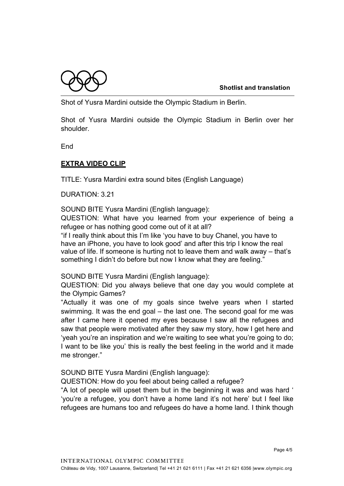Shot of Yusra Mardini outside the Olympic Stadium in Berlin.

Shot of Yusra Mardini outside the Olympic Stadium in Berlin over her shoulder.

**End** 

## **EXTRA VIDEO CLIP**

TITLE: Yusra Mardini extra sound bites (English Language)

DURATION: 3.21

SOUND BITE Yusra Mardini (English language):

QUESTION: What have you learned from your experience of being a refugee or has nothing good come out of it at all?

"if I really think about this I'm like 'you have to buy Chanel, you have to have an iPhone, you have to look good' and after this trip I know the real value of life. If someone is hurting not to leave them and walk away – that's something I didn't do before but now I know what they are feeling."

SOUND BITE Yusra Mardini (English language):

QUESTION: Did you always believe that one day you would complete at the Olympic Games?

"Actually it was one of my goals since twelve years when I started swimming. It was the end goal – the last one. The second goal for me was after I came here it opened my eyes because I saw all the refugees and saw that people were motivated after they saw my story, how I get here and 'yeah you're an inspiration and we're waiting to see what you're going to do; I want to be like you' this is really the best feeling in the world and it made me stronger."

SOUND BITE Yusra Mardini (English language):

QUESTION: How do you feel about being called a refugee?

"A lot of people will upset them but in the beginning it was and was hard ' 'you're a refugee, you don't have a home land it's not here' but I feel like refugees are humans too and refugees do have a home land. I think though